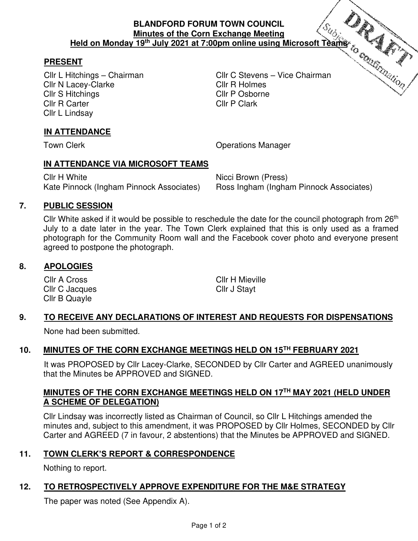#### **BLANDFORD FORUM TOWN COUNCIL Minutes of the Corn Exchange Meeting Held on Monday 19th July 2021 at 7:00pm online using Microsoft Teams**

# **PRESENT**

Cllr N Lacey-Clarke Cllr R Holmes Cllr S Hitchings **Cllr P Osborne** Cllr R Carter Cllr P Clark Cllr L Lindsay

Cllr L Hitchings – Chairman Cllr C Stevens – Vice Chairman

# **IN ATTENDANCE**

Town Clerk **Town Clerk Clerge Clerge Clerge Clerge Clerge Clerge Clerge Clerge Clerge Clerge Clerge Clerge Clerge Clerge Clerge Clerge Clerge Clerge Clerge Clerge Clerge Clerge Clerge Clerge Clerge Clerge Clerge Clerge C** 

#### **IN ATTENDANCE VIA MICROSOFT TEAMS**

Cllr H White Nicci Brown (Press) Kate Pinnock (Ingham Pinnock Associates) Ross Ingham (Ingham Pinnock Associates)

# **7. PUBLIC SESSION**

Cllr White asked if it would be possible to reschedule the date for the council photograph from 26<sup>th</sup> July to a date later in the year. The Town Clerk explained that this is only used as a framed photograph for the Community Room wall and the Facebook cover photo and everyone present agreed to postpone the photograph.

# **8. APOLOGIES**

Cllr A Cross Cllr H Mieville Cllr C Jacques Cllr J Stayt Cllr B Quayle

# **9. TO RECEIVE ANY DECLARATIONS OF INTEREST AND REQUESTS FOR DISPENSATIONS**

None had been submitted.

# **10. MINUTES OF THE CORN EXCHANGE MEETINGS HELD ON 15TH FEBRUARY 2021**

 It was PROPOSED by Cllr Lacey-Clarke, SECONDED by Cllr Carter and AGREED unanimously that the Minutes be APPROVED and SIGNED.

#### **MINUTES OF THE CORN EXCHANGE MEETINGS HELD ON 17TH MAY 2021 (HELD UNDER A SCHEME OF DELEGATION)**

Cllr Lindsay was incorrectly listed as Chairman of Council, so Cllr L Hitchings amended the minutes and, subject to this amendment, it was PROPOSED by Cllr Holmes, SECONDED by Cllr Carter and AGREED (7 in favour, 2 abstentions) that the Minutes be APPROVED and SIGNED.

# **11. TOWN CLERK'S REPORT & CORRESPONDENCE**

Nothing to report.

# **12. TO RETROSPECTIVELY APPROVE EXPENDITURE FOR THE M&E STRATEGY**

The paper was noted (See Appendix A).